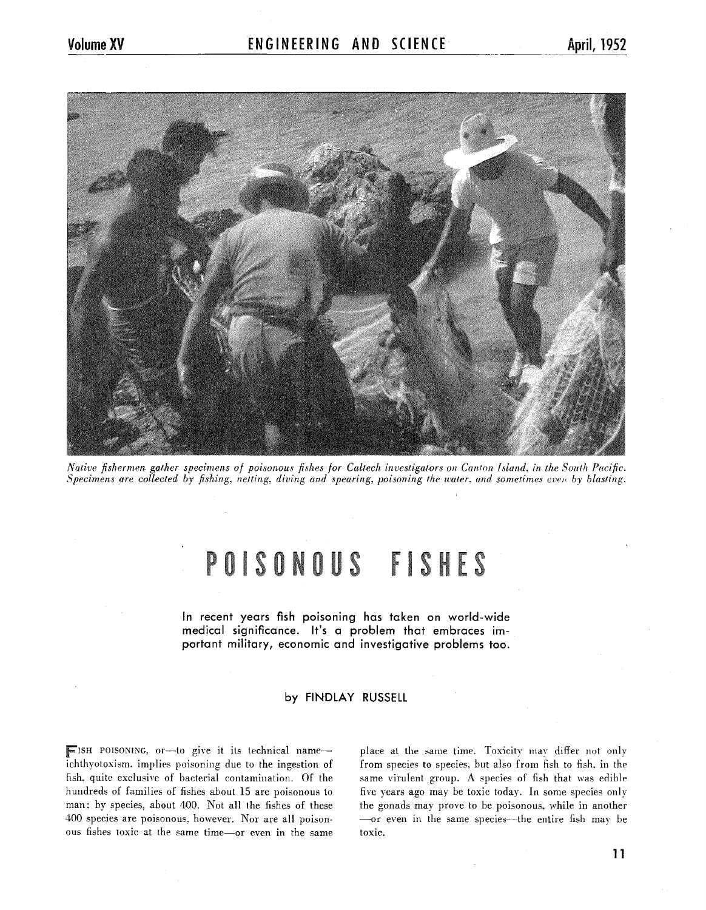

*Native fishermen gather specimens of poisonous fishes for Caltech investigators on Canton Island, in the South Pacific. Specimens are collected by fishing, netting, diving and spearing, poisoning the water, and sometimes even by blasting.* 

# POISONOUS FISHES

In **recent years fish poisoning has taken on world-wide medical significance. It's a problem that embraces important military, economic and investigative problems too.** 

# **by FINDLAY RUSSELL**

ISH POISONING, or-to give it its technical name - place at the same time. Toxicity may differ not only ichthyotoxism, implies poisoning due to the ingestion of from species to species, but also from fish to fish, in the fish. quite exclusive of bacterial contamination. Of the same virulent group. A species of fish that was edible hundreds of families of fishes about 15 are poisonous to five years ago may be toxic today. In some species only man; by species, about 400. Not all the fishes of these the gonads may prove to be poisonous, while in another 400 species are poisonous, however. Nor are all poison- -or even in the same species-the entire fish may be ous fishes toxic at the same time-or even in the same toxic.

from species to species, but also from fish to fish, in the

**11**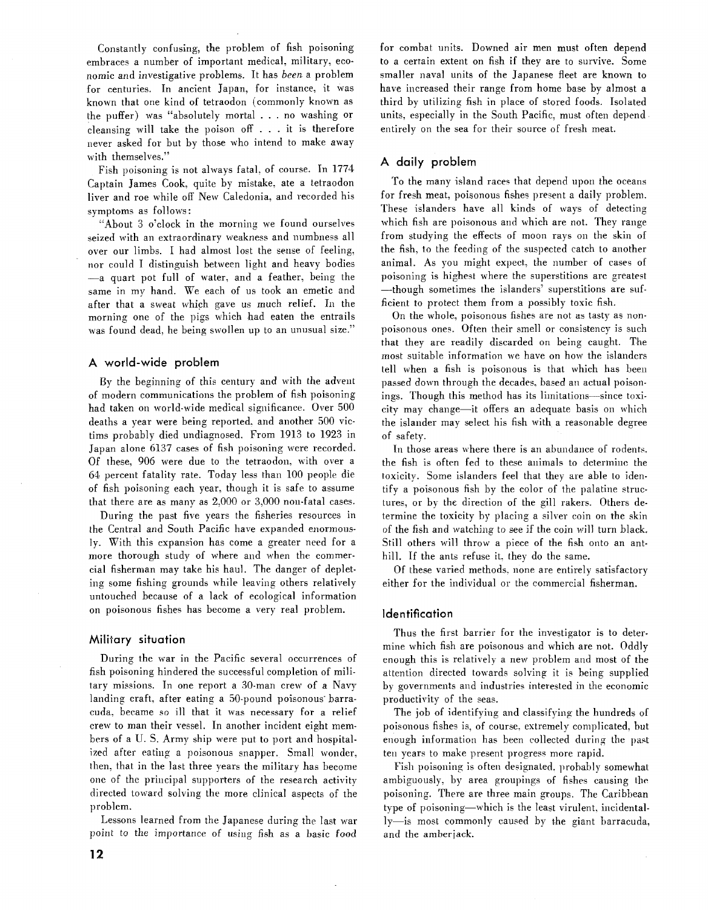Constantly confusing, the problem of fish poisoning embraces a number of important medical. military, economic and investigative problems. It has been a problem for centuries. In ancient Japan, for instance. it was known that one kind of tetraodon (commonly known as the puffer) was "absolutely mortal . . . no washing or cleansing will take the poison off . . . it is therefore never asked for but by those who intend to make away with themselves."

Fish poisoning is not always fatal, of course. In 1774 Captain James Cook. quite by mistake. ate a tetraodon liver and roe while off New Caledonia, and recorded his symptoms as follows :

"About 3 o'clock in the morning we found ourselves seized with an extraordinary weakness and numbness all over our limbs. 1 had almost lost the sense of feeling. nor could I distinguish between light and heavy bodies -a quart pot full of water. and a feather. being the same in my hand. We each of us took an emetic and after that a sweat which gave us much relief. In the morning one of the pigs which had eaten the entrails was found dead, he being swollen up to an unusual size."

## A world-wide problem

By the beginning of this century and with the advent of modern communications the problem of fish poisoning had taken on world-wide medical significance. Over 500 deaths a year were being reported. and another 500 victims probably died undiagnosed. From 1913 to 1923 in Japan alone 6137 cases of fish poisoning mere recorded. Of these, 906 were due to the tetraodon. with over a 64 percent fatality rate. Today less than 100 people die of fish poisoning each year, though it is safe to assume that there are as many as 2.000 or 3,000 non-fatal cases.

During the past five years the fisheries resources in the Central and South Pacific have expanded enormously. With this expansion has come a greater need for a more thorough study of where and when the commercial fisherman may take his haul. The danger of depleting some fishing grounds while leaving others relatively untouched because of a lack of ecological information on poisonous fishes has become a very real problem.

## Military situation

During the war in the Pacific several occurrences of fish poisoning hindered the successful completion of military missions. In one report a 30-man crew of a Navy landing craft, after eating a 50-pound poisonous barracuda. became so ill that it was necessary for a relief crew to man their vessel. In another incident eight members of a U. S. Army ship were put to port and hospitalized after eating a poisonous snapper. Small wonder, then, that in the last three years the military has become one of the principal supporters of the research activitydirected toward solving the more clinical aspects of the problem.

Lessons learned from the Japanese during the last war point to the importance of using fish as a basic food

for combat units. Downed air men must often depend to a certain extent on fish if they are to survive. Some smaller naval units of the Japanese fleet are known to have increased their range from home base by almost a third by utilizing fish in place of stored foods. Isolated units; especially in the South Pacific, must often depend entirely on the sea for their source of fresh meat.

# A daily problem

To the many island races that depend upon the oceans for fresh meat, poisonous fishes present a daily problem. These islanders have all kinds of ways of detecting which fish are poisonous and which are not. They range from studying the effects of moon rays on the skin 01 the fish, to the feeding of the suspected catch to another animal. As you might expect, the number of cases of poisoning is highest mhere the superstitions are greatest -though sometimes the islanders' superstitions are sufficient to protect them from a possibly toxic fish.

On the whole, poisonous fishes are not as tasty as nonpoisonous ones. Often their smell or consistency is such that they are readily discarded on being caught. The most suitable information we have on how the islanders tell when a fish is poisonous is that which has heen passed down through the decades, based an actual poisonings. Though this method has its limitations—since toxicity may change-it offers an adequate basis on mhich the islander may select his fish with a reasonable degree of safety.

In those areas where there is an abundance of rodents. the fish is often fed to these animals to determine the toxicity. Some islanders feel that they are able to identify a poisonous fish by the color of the palatine structures, or by the direction of the gill rakers. Others determine the toxicity by placing a silver coin on the skin of the fish and watching to see if the coin will turn black. Still others will throw a piece of the fish onto an anthill. If the ants refuse it, they do the same.

Of these varied methods. none are entirely satisfactory either for the individual or the commercial fisherman.

## Identification

Thus the first barrier for the investigator is to determine which fish are poisonous and which are not. Oddly enough this is relatively a new problem and most of the attention directed towards solving it is being supplied by governments and industries interested in the economic productivity of the seas.

The job of identifying and classifying the hundreds of poisonous fishes is, of course, extremely complicated, but enough information has been collected during the past ten years to make present progress more rapid.

Fish poisoning is often designated, probably somewhat ambiguously, by area groupings of fishes causing the poisoning. There are three main groups. The Caribbean type of poisoning—which is the least virulent, incidentally-is most commonly caused by the giant barracuda, and the amberjack.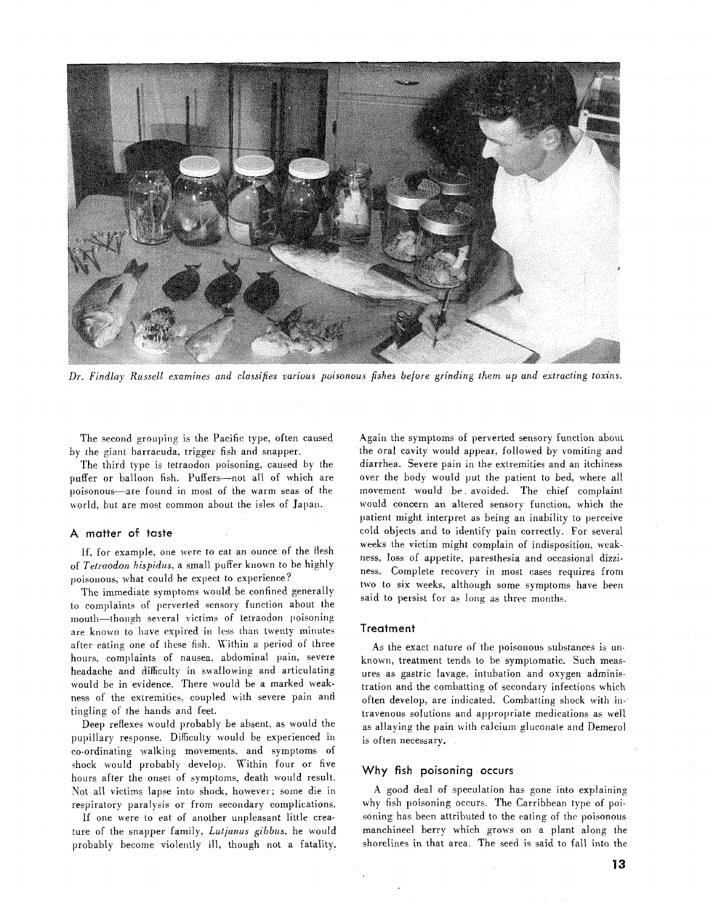

Dr. Findlay Russell examines and classifies various poisonous fishes before grinding them up and extracting toxins.

The second grouping is the Pacific type, often caused by the giant barracuda, trigger fish and snapper.

The third type is tetraodon poisoning. caused by the puffer or balloon fish. Puffers-not all of which are poisonous-are found in most of the warm seas of the world, but are most common about the isles of Japan.

#### A matter of taste

If, for example, one were to eat an ounce of the flesh of Tetraodon hispidus, a small puffer known to be highly poisonous, what could he expect to experience?

The immediate symptoms would be confined generally to complaints of perverted sensory function about the mouth-though several victims of tetraodon poisoning are known to have expired in less than twenty minutes after eating one of these fish. Within a period of three hours, complaints of nausea, abdominal pain, severe headache and difficulty in swallowing and articulating would be in evidence. There would be a marked weakness of the extremities, coupled with severe pain and tingling of the hands and feet.

Deep reflexes would probably be absent, as would the pupillary response. Difficulty would be experienced in co-ordinating walking movements, and symptoms of shock would probably develop. Within four or five hours after the onset of symptoms, death would result. Not all victims lapse into shock, however; some die in respiratory paralysis or from secondary complications.

If one were to eat of another unpleasant little creature of the snapper family, Lutjanus gibbus, he would probably become violently ill, though not a fatality.

Again the symptoms of perverted sensory function about the oral cavity would appear. followed by vomiting and diarrhea. Severe pain in the extremities and an itchiness over the body would put the patient to bed, where all movement would be avoided. The chief complaint would concern an altered sensory function, which the patient might interpret as being an inability to perceive cold objects and to identify pain correctly. For several weeks the victim might complain of indisposition, weakness. loss of appetite, paresthesia arid occasional dizziness. complete recovery in most cases requires from two to six weeks, although some symptoms have been said to persist for as long as three months,

#### Treatment

As the exact nature of the poisonous substances is unknown, treatment tends to be symptomatic. Such measures as gastric lavage, intubation and oxygen administration and the combatting of secondary infections which often develop, are indicated. Combatting shock with intravenous solutions and appropriate medications as well as allaying the pain with calcium gluconate and Demerol is often necessary.

#### Why **fish** poisoning .occurs

**A** good deal of speculation has gone into explaining why fish poisoning occurs. The Carribbean type of poisoning has been attributed to the eating of the poisonous manchineel berry uhich grows on a plant along the shorelines in that area. The seed is said to fall into the